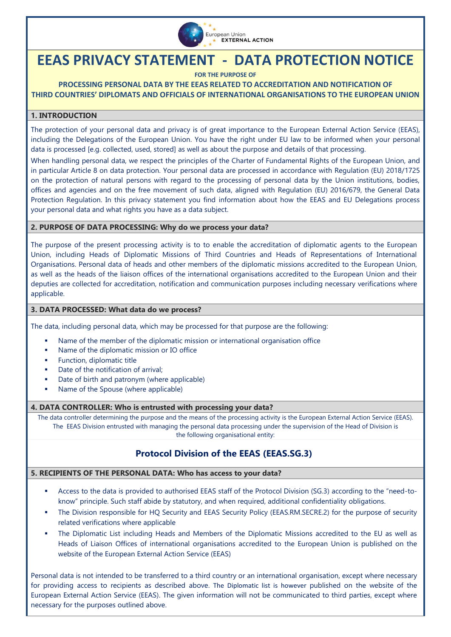

# **EEAS PRIVACY STATEMENT - DATA PROTECTION NOTICE**

**FOR THE PURPOSE OF**

## **PROCESSING PERSONAL DATA BY THE EEAS RELATED TO ACCREDITATION AND NOTIFICATION OF THIRD COUNTRIES' DIPLOMATS AND OFFICIALS OF INTERNATIONAL ORGANISATIONS TO THE EUROPEAN UNION**

#### **1. INTRODUCTION**

The protection of your personal data and privacy is of great importance to the European External Action Service (EEAS), including the Delegations of the European Union. You have the right under EU law to be informed when your personal data is processed [e.g. collected, used, stored] as well as about the purpose and details of that processing.

When handling personal data, we respect the principles of the Charter of Fundamental Rights of the European Union, and in particular Article 8 on data protection. Your personal data are processed in accordance with [Regulation \(EU\) 2018/1725](https://eur-lex.europa.eu/legal-content/EN/TXT/?uri=CELEX%3A32018R1725)  [on the protection of natural persons with regard to the processing of personal data by the Union institutions, bodies,](https://eur-lex.europa.eu/legal-content/EN/TXT/?uri=CELEX%3A32018R1725)  [offices and agencies and on the free movement of such data,](https://eur-lex.europa.eu/legal-content/EN/TXT/?uri=CELEX%3A32018R1725) aligned with Regulation (EU) 2016/679, the General Data Protection Regulation. In this privacy statement you find information about how the EEAS and EU Delegations process your personal data and what rights you have as a data subject.

#### **2. PURPOSE OF DATA PROCESSING: Why do we process your data?**

The purpose of the present processing activity is to to enable the accreditation of diplomatic agents to the European Union, including Heads of Diplomatic Missions of Third Countries and Heads of Representations of International Organisations. Personal data of heads and other members of the diplomatic missions accredited to the European Union, as well as the heads of the liaison offices of the international organisations accredited to the European Union and their deputies are collected for accreditation, notification and communication purposes including necessary verifications where applicable.

#### **3. DATA PROCESSED: What data do we process?**

The data, including personal data, which may be processed for that purpose are the following:

- Name of the member of the diplomatic mission or international organisation office
- Name of the diplomatic mission or IO office
- **Function, diplomatic title**
- Date of the notification of arrival;
- Date of birth and patronym (where applicable)
- Name of the Spouse (where applicable)

#### **4. DATA CONTROLLER: Who is entrusted with processing your data?**

The data controller determining the purpose and the means of the processing activity is the European External Action Service (EEAS). The EEAS Division entrusted with managing the personal data processing under the supervision of the Head of Division is the following organisational entity:

# **Protocol Division of the EEAS (EEAS.SG.3)**

#### **5. RECIPIENTS OF THE PERSONAL DATA: Who has access to your data?**

- Access to the data is provided to authorised EEAS staff of the Protocol Division (SG.3) according to the "need-toknow" principle. Such staff abide by statutory, and when required, additional confidentiality obligations.
- The Division responsible for HQ Security and EEAS Security Policy (EEAS.RM.SECRE.2) for the purpose of security related verifications where applicable
- The Diplomatic List including Heads and Members of the Diplomatic Missions accredited to the EU as well as Heads of Liaison Offices of international organisations accredited to the European Union is published on the website of the European External Action Service (EEAS)

Personal data is not intended to be transferred to a third country or an international organisation, except where necessary for providing access to recipients as described above. The Diplomatic list is however published on the website of the European External Action Service (EEAS). The given information will not be communicated to third parties, except where necessary for the purposes outlined above.